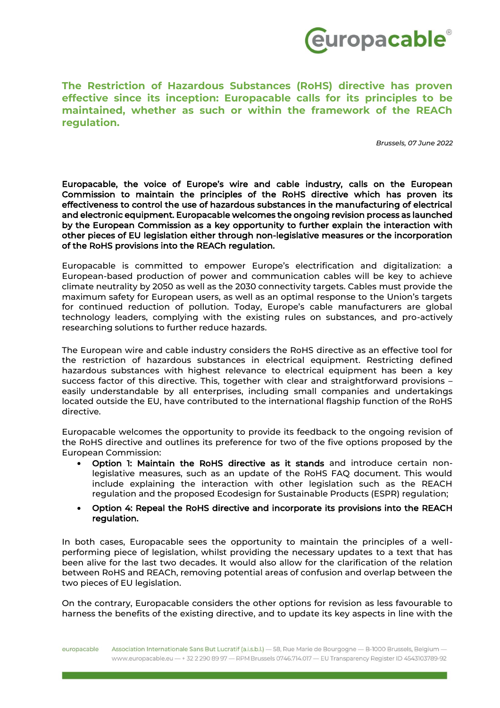

**The Restriction of Hazardous Substances (RoHS) directive has proven effective since its inception: Europacable calls for its principles to be maintained, whether as such or within the framework of the REACh regulation.**

*Brussels, 07 June 2022*

Europacable, the voice of Europe's wire and cable industry, calls on the European Commission to maintain the principles of the RoHS directive which has proven its effectiveness to control the use of hazardous substances in the manufacturing of electrical and electronic equipment. Europacable welcomes the ongoing revision process as launched by the European Commission as a key opportunity to further explain the interaction with other pieces of EU legislation either through non-legislative measures or the incorporation of the RoHS provisions into the REACh regulation.

Europacable is committed to empower Europe's electrification and digitalization: a European-based production of power and communication cables will be key to achieve climate neutrality by 2050 as well as the 2030 connectivity targets. Cables must provide the maximum safety for European users, as well as an optimal response to the Union's targets for continued reduction of pollution. Today, Europe's cable manufacturers are global technology leaders, complying with the existing rules on substances, and pro-actively researching solutions to further reduce hazards.

The European wire and cable industry considers the RoHS directive as an effective tool for the restriction of hazardous substances in electrical equipment. Restricting defined hazardous substances with highest relevance to electrical equipment has been a key success factor of this directive. This, together with clear and straightforward provisions – easily understandable by all enterprises, including small companies and undertakings located outside the EU, have contributed to the international flagship function of the RoHS directive.

Europacable welcomes the opportunity to provide its feedback to the ongoing revision of the RoHS directive and outlines its preference for two of the five options proposed by the European Commission:

- Option 1: Maintain the RoHS directive as it stands and introduce certain nonlegislative measures, such as an update of the RoHS FAQ document. This would include explaining the interaction with other legislation such as the REACH regulation and the proposed Ecodesign for Sustainable Products (ESPR) regulation;
- Option 4: Repeal the RoHS directive and incorporate its provisions into the REACH regulation.

In both cases, Europacable sees the opportunity to maintain the principles of a wellperforming piece of legislation, whilst providing the necessary updates to a text that has been alive for the last two decades. It would also allow for the clarification of the relation between RoHS and REACh, removing potential areas of confusion and overlap between the two pieces of EU legislation.

On the contrary, Europacable considers the other options for revision as less favourable to harness the benefits of the existing directive, and to update its key aspects in line with the

Association Internationale Sans But Lucratif (a.i.s.b.l.) - 58, Rue Marie de Bourgogne - B-1000 Brussels, Belgium europacable www.europacable.eu - + 32 2 290 89 97 - RPM Brussels 0746.714.017 - EU Transparency Register ID 4543103789-92